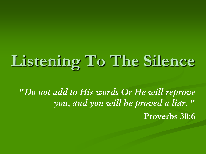# **Listening To The Silence**

**"***Do not add to His words Or He will reprove you, and you will be proved a liar.* **"** 

**Proverbs 30:6**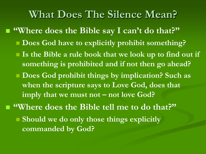#### **What Does The Silence Mean?**

- **"Where does the Bible say I can't do that?"** ■ Does God have to explicitly prohibit something?
	- **Is the Bible a rule book that we look up to find out if something is prohibited and if not then go ahead?**
	- **Does God prohibit things by implication? Such as when the scripture says to Love God, does that imply that we must not – not love God?**
- **"Where does the Bible tell me to do that?" Should we do only those things explicitly commanded by God?**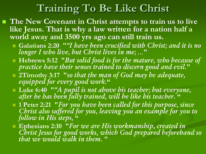## **Training To Be Like Christ**

- The New Covenant in Christ attempts to train us to live **like Jesus. That is why a law written for a nation half a world away and 3500 yrs ago can still train us.**
	- **Galatians 2:20 "***"I have been crucified with Christ; and it is no longer I who live, but Christ lives in me; …***"**
	- **Hebrews 5:12 "***But solid food is for the mature, who because of practice have their senses trained to discern good and evil.***"**
	- **2Timothy 3:17 "***so that the man of God may be adequate, equipped for every good work.***"**
	- **Luke 6:40 "***"A pupil is not above his teacher; but everyone, after he has been fully trained, will be like his teacher.* **"**
	- **1 Peter 2:21 "***For you have been called for this purpose, since Christ also suffered for you, leaving you an example for you to follow in His steps,* **"**
	- **Ephesians 2:10 "***For we are His workmanship, created in Christ Jesus for good works, which God prepared beforehand so that we would walk in them.* **"**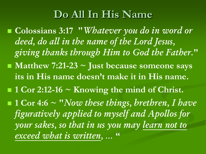### **Do All In His Name**

■ Colossians 3:17 "*Whatever you do in word or deed, do all in the name of the Lord Jesus, giving thanks through Him to God the Father.***"** ■ Matthew 7:21-23 ~ Just because someone says **its in His name doesn't make it in His name. 1 Cor 2:12-16 ~ Knowing the mind of Christ. 1 Cor 4:6 ~ "***Now these things, brethren, I have figuratively applied to myself and Apollos for your sakes, so that in us you may learn not to exceed what is written, …*  **"**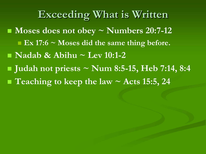**Exceeding What is Written Moses does not obey ~ Numbers 20:7-12** ■ **Ex 17:6** ~ **Moses did the same thing before. Nadab & Abihu ~ Lev 10:1-2 Judah not priests ~ Num 8:5-15, Heb 7:14, 8:4** ■ Teaching to keep the law ~ Acts 15:5, 24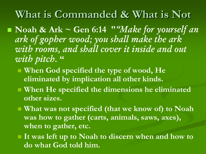#### **What is Commanded & What is Not**

 **Noah & Ark ~ Gen 6:14 "***"Make for yourself an ark of gopher wood; you shall make the ark with rooms, and shall cover it inside and out with pitch.* **"**

- When God specified the type of wood, He **eliminated by implication all other kinds.**
- **When He specified the dimensions he eliminated other sizes.**
- **What was not specified (that we know of) to Noah was how to gather (carts, animals, saws, axes), when to gather, etc.**
- **It was left up to Noah to discern when and how to do what God told him.**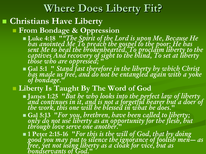#### **Where Does Liberty Fit?**

#### **Christians Have Liberty**

**From Bondage & Oppression**

- **Luke 4:18 "***"The Spirit of the Lord is upon Me, Because He has anointed Me To preach the gospel to the poor; He has sent Me to heal the brokenhearted, To proclaim liberty to the captives And recovery of sight to the blind, To set at liberty those who are oppressed;* **"**
- **Gal 5:1 "** *Stand fast therefore in the liberty by which Christ has made us free, and do not be entangled again with a yoke of bondage.***"**

#### **Liberty Is Taught By The Word of God**

- **James 1:25 "***But he who looks into the perfect law of liberty and continues in it, and is not a forgetful hearer but a doer of the work, this one will be blessed in what he does.***"**
- **Gal 5:13 "***For you, brethren, have been called to liberty; only do not use liberty as an opportunity for the flesh, but through love serve one another.***"**

 **1 Peter 2:15-16 "***For this is the will of God, that by doing good you may put to silence the ignorance of foolish men— as free, yet not using liberty as a cloak for vice, but as bondservants of God.***"**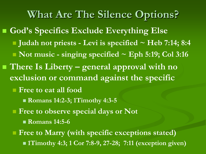**What Are The Silence Options? God's Specifics Exclude Everything Else Judah not priests - Levi is specified ~ Heb 7:14; 8:4** ■ **Not music - singing specified ~ Eph 5:19; Col 3:16** ■ There Is Liberty – general approval with no **exclusion or command against the specific Free to eat all food Romans 14:2-3; 1Timothy 4:3-5 Figure 1 Free to observe special days or Not Romans 14:5-6 Figure 1)** Free to Marry (with specific exceptions stated) **1Timothy 4:3; 1 Cor 7:8-9, 27-28; 7:11 (exception given)**